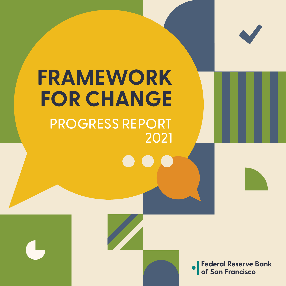

# **FRAMEWORK FOR CHANGE** PROGRESS REPORT 2021

 $\bullet$ 

**Federal Reserve Bank**<br>of San Francisco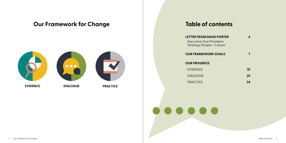

## **Table of contents**

### **LETTER FROM DAVID PORTER**

Executive Vice President, Strategy, People + Culture

#### **OUR FRAMEWORK GOALS**

#### **OUR PROGRESS**

EVIDENCE

DIALOGUE

**PRACTICE** 

**4**

**7**



**10 25 34**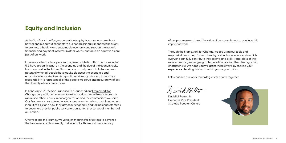of our progress—and a reaffirmation of our commitment to continue this



important work.

Through the Framework for Change, we are using our tools and responsibilities to help foster a healthy and inclusive economy in which everyone can fully contribute their talents and skills—regardless of their race, ethnicity, gender, geographic location, or any other demographic characteristic. We hope you will assist these efforts by sharing your experiences leading this work within your organizations.

Let's continue our work towards greater equity, together.

David Porter

## **Equity and Inclusion**

At the San Francisco Fed, we care about equity because we care about how economic output connects to our congressionally mandated mission: to promote a healthy and sustainable economy and support the nation's financial and payment systems. In other words, our focus on equity is a core part of our work.

From a racial and ethnic perspective, research tells us that inequities in the U.S. have a clear impact on the economy and the size of the economic pie, both now and in the future. Our country can only reach its full economic potential when all people have equitable access to economic and educational opportunities. As a public service organization, it is also our responsibility to represent all of the people we serve and accurately reflect the diversity of our communities.

In February 2021, the San Francisco Fed launched our [Framework for](https://www.frbsf.org/our-district/about/commitment-to-equity/)  [Change,](https://www.frbsf.org/our-district/about/commitment-to-equity/) our public commitment to taking action that will result in greater racial and ethnic equity in our organization and the communities we serve. Our Framework has two major goals: documenting where racial and ethnic inequities exist and how they affect our economy, and taking concrete steps to become a premier public service organization that serves all members of our nation.

One year into this journey, we've taken meaningful first steps to advance the Framework both internally and externally. This report is a summary

David M. Porter, Jr. Executive Vice President Strategy, People + Culture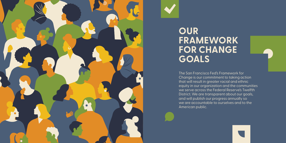

# **OUR FRAMEWORK FOR CHANGE GOALS**

The San Francisco Fed's Framework for Change is our commitment to taking action that will result in greater racial and ethnic equity in our organization and the communities we serve across the Federal Reserve's Twelfth District. We are transparent about our goals, and will publish our progress annually so we are accountable to ourselves and to the American public.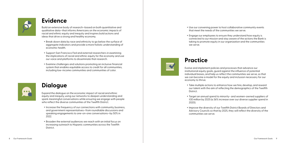Build an extensive body of research—based on both quantitative and qualitative data—that informs Americans on the economic impacts of racial and ethnic equity and inequity and inspires bold actions and ideas that drive a strong and healthy economy.

- + Break down data by race and ethnicity to go below the surface of aggregate indicators and provide a more holistic understanding of economic health.
- + Support San Francisco Fed and external researchers in examining the implications of racial and ethnic equity for the economy and use our voice and platforms to disseminate that research.
- + Examine challenges and solutions promoting an inclusive financial system that enables equitable access to credit for all communities, including low-income communities and communities of color.



Expand the dialogue on the economic impact of racial and ethnic equity and inequity, using our networks to deepen understanding and spark meaningful conversations while ensuring we engage with people who reflect the diverse communities of the Twelfth District.

- + Increase the frequency of our connections with community, business, and government representatives—from roundtable discussions and speaking engagements to one-on-one conversations—by 50% in 2022.
- + Broaden the external audiences we reach with an initial focus on increasing outreach to Hispanic communities across the Twelfth District.



### **Evidence**

### **Dialogue**

# **Practice**

Evolve and implement policies and processes that advance our institutional equity goals, guard against the influence of potential individual biases, and help us reflect the communities we serve, so that we can become a model for the equity and inclusion necessary for our economy to thrive.

+ Take multiple actions to enhance how we hire, develop, and reward our talent with the aim of reflecting the demographics of the Twelfth

+ Target an annual spend to minority- and women-owned suppliers of \$30 million by 2025 (a 36% increase over our diverse supplier spend in

- District.
- 2020).
- communities we serve.

+ Improve the diversity of our Twelfth District Boards of Directors and Advisory Councils so that by 2025, they will reflect the diversity of the

+ Use our convening power to host collaborative community events that meet the needs of the communities we serve.

+ Engage our employees to ensure they understand how equity is connected to our mission and stay aware of the actions the Bank is taking to promote equity in our organization and the communities

- 
- we serve.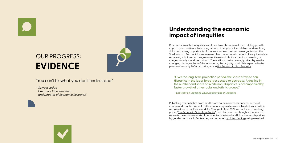"Over the long-term projection period, the share of white non-Hispanics in the labor force is expected to decrease. A decline in the number and share of White non-Hispanics is accompanied by faster growth of other racial and ethnic groups."

*– [Spotlight on Statistics, U.S. Bureau of Labor Statistics](https://www.bls.gov/spotlight/2016/a-look-at-the-future-of-the-us-labor-force-to-2060/home.htm#:~:text=The%20civilian%20noninstitutional%20population%20is,an%20increase%20of%2029%20million.)*



*– Sylvain Leduc Executive Vice President and Director of Economic Research*

# OUR PROGRESS: **EVIDENCE**

Research shows that inequities translate into real economic losses—stifling growth, capacity, and resilience by leaving millions of people on the sidelines, underutilizing skills, and missing opportunities for innovation. As a data-driven organization, the San Francisco Fed contributes to research on the economic impact of inequities while examining solutions and progress over time—work that is essential to meeting our congressionally mandated mission. These efforts are increasingly critical given the changing demographics of the labor force, the majority of which is expected to be people of color by 2050, according to the [U.S. Bureau of Labor Statistics.](https://www.bls.gov/spotlight/2016/a-look-at-the-future-of-the-us-labor-force-to-2060/home.htm#:~:text=The%20civilian%20noninstitutional%20population%20is,an%20increase%20of%2029%20million.)

### **Understanding the economic impact of inequities**

Publishing research that examines the root causes and consequences of racial economic disparities, as well as the economic gains from racial and ethnic equity, is a cornerstone of our Framework for Change. In April 2021, we published a working paper, "[The Economic Gains from Equity,](https://www.frbsf.org/economic-research/publications/working-papers/2021/11/)" that discussed our thought experiment to estimate the economic costs of persistent educational and labor market disparities by gender and race. In September, we presented [updated findings](https://www.brookings.edu/bpea-articles/the-economic-gains-from-equity/) using a revised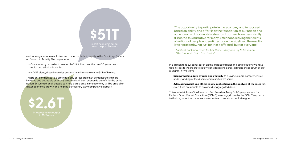

**\$2.6T** in lost economic output in 2019 alone

methodology to focus exclusively on racial and ethnic equity in the Brookings Papers on Economic Activity. The paper found:

- + Our economy missed out on a total of \$51 trillion over the past 30 years due to racial and ethnic disparities.
- + In 2019 alone, these inequities cost us \$2.6 trillion—the entire GDP of France.

This paper contributes to a growing body of research that demonstrates a more inclusive and equitable economy creates significant economic benefit for the entire nation. Ensuring that all people can fully participate in the economy will be crucial to faster economic growth and helping our country stay competitive globally.

"The opportunity to participate in the economy and to succeed based on ability and effort is at the foundation of our nation and our economy. Unfortunately, structural barriers have persistently disrupted this narrative for many Americans, leaving the talents of millions of people underutilized or on the sidelines. The result is lower prosperity, not just for those affected, but for everyone."

*– Shelby R. Buckman, Laura Y. Choi, Mary C. Daly, and Lily M. Seitelman,* 

 *"The Economic Gains from Equity"*

In addition to focused research on the impact of racial and ethnic equity, we have taken steps to incorporate equity considerations across a broader spectrum of our research in two ways:

+ **Disaggregating data by race and ethnicity** to provide a more comprehensive

+ **Addressing racial and ethnic equity implications in the analysis of the research**,

- understanding of the diverse communities we serve.
- even if we are unable to provide disaggregated data.

This analysis informs San Francisco Fed President Mary Daly's preparations for Federal Open Market Committee (FOMC) meetings, driven by the FOMC's approach to thinking about maximum employment as a broad and inclusive goal.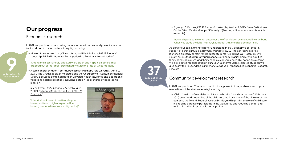

**37**

publications & events

+ Nicolas Petrosky-Nadeau, Olivia Lofton, and Lily Seitelman, *FRBSF Economic*  Letter (April 5, 2021), "[Parental Participation in a Pandemic Labor Market.](https://www.frbsf.org/economic-research/publications/economic-letter/2021/april/parental-participation-in-pandemic-labor-market/)"

In 2021, we produced nine working papers, economic letters, and presentations on topics related to racial and ethnic equity, including:

"Among the most severely affected were Black and Hispanic mothers. They dropped out of the labor force at nearly twice the rate of white mothers."

#### "Racial disparities in worker outcomes are often hidden by the headline numbers. When you study the labor market, it turns out that one size does not fit all."

+ A seminar presentation from Paul Goldsmith-Pinkham, *Yale University* (April 12, 2021), "The Great Equalizer: Medicare and the Geography of Consumer Financial Strain," discussed combined data on universal health insurance and geographic variations in debt collections, including data on racial shares by geographic location.

+ Simon Kwan, *FRBSF Economic Letter* (August 2, 2021), "[Minority Banks during the COVID-19](https://www.frbsf.org/economic-research/publications/economic-letter/2021/august/minority-banks-during-covid-19-pandemic/)  [Pandemic](https://www.frbsf.org/economic-research/publications/economic-letter/2021/august/minority-banks-during-covid-19-pandemic/)."

"Minority banks remain resilient despite lower profits and higher expected loan losses [compared to non-minority banks]."



## **Our progress**

### Economic research

#### + Evgeniya A. Duzhak, *FRBSF Economic Letter* (September 7, 2021), ["How Do Business](https://www.frbsf.org/economic-research/publications/economic-letter/2021/september/how-do-business-cycles-affect-worker-groups-differently/)  [Cycles Affect Worker Groups Differently?"](https://www.frbsf.org/economic-research/publications/economic-letter/2021/september/how-do-business-cycles-affect-worker-groups-differently/) (See [page 2](#page-11-0)2 to learn more about this research.)

As part of our commitment to better understand the U.S. economy's potential in support of our maximum employment mandate, in 2021 the San Francisco Fed launched an essay contest for graduate students, ["Unlocking Our Potential."](https://www.frbsf.org/our-district/about/sf-fed-blog/student-essay-contest-unlocking-our-potential/) We sought essays that address various aspects of gender, racial, and ethnic equities, their underlying causes, and their economic consequences. This spring, two essays will be selected for publication in our *[FRBSF Economic Letter](https://www.frbsf.org/economic-research/publications/economic-letter/)*; selected students will also be invited to spend the summer of 2022 as San Francisco Fed Economic Research scholars.

In 2021, we produced 37 research publications, presentations, and events on topics related to racial and ethnic equity, including:

+ ["Child Care in the Twelfth Federal Reserve District: Snapshots by State"](https://www.frbsf.org/community-development/data/child-care-in-the-twelfth-federal-reserve-district-snapshots-by-state/) (February 2021) provides data profiles of the child care market in each of the nine states that comprise the Twelfth Federal Reserve District, and highlights the role of child care in enabling parents to participate in the work force and reducing gender and

racial disparities in economic participation.

### Community development research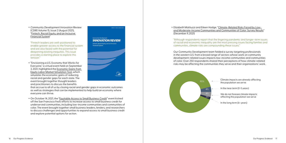+ *Community Development Innovation Review* (CDIR) Volume 15, Issue 2 (August 2021), ["Fintech, Racial Equity, and an Inclusive](https://www.frbsf.org/community-development/publications/community-development-investment-review/2021/august/fintech-racial-equity-inclusive-financial-system/)  [Financial System"](https://www.frbsf.org/community-development/publications/community-development-investment-review/2021/august/fintech-racial-equity-inclusive-financial-system/)

"Fintech leaders are well-positioned to enable greater access to the financial system and are also faced with the potential for deepening existing inequities. This issue provides a starting place to explore this tension."

+ "Envisioning a U.S. Economy that Works for Everyone," a virtual event held on September 3, 2021, highlighted the [Economic Gains from](https://fedcommunities.org/data/closethegaps/)  [Equity Labor Market Simulation Tool](https://fedcommunities.org/data/closethegaps/), which simulates the economic gains of reducing racial and gender gaps for each state. The event brought together thought leaders and practitioners to discuss the benefits

that accrue to all of us by closing racial and gender gaps in economic outcomes as well as strategies that can be implemented to help build an economy where everyone can thrive.

+ On October 14, 2021, the ["Equitable Access to Small Business Credit](https://www.frbsf.org/our-district/events/equitable-access-small-business-credit-oct-2021/)" event kicked off the San Francisco Fed's efforts to increase access to small business credit for underserved communities, including low-income communities and communities of color. The event brought together small business leaders, lenders, and researchers to discuss challenges and opportunities to expand access to small business credit and explore potential options for action.



#### + Elizabeth Mattiuzzi and Eileen Hodge, "[Climate-Related Risks Faced by Low](https://www.frbsf.org/community-development/publications/community-development-research-briefs/2021/december/climate-related-risks-faced-by-low-and-moderate-income-communities-and-communities-of-color-survey-results/)[and Moderate-Income Communities and Communities of Color: Survey Results"](https://www.frbsf.org/community-development/publications/community-development-research-briefs/2021/december/climate-related-risks-faced-by-low-and-moderate-income-communities-and-communities-of-color-survey-results/)



(December 9, 2021)

"Although respondents report that the lingering pandemic and longer-term issues of racial and economic inequality are the most pressing issues facing families and communities, climate risks are compounding these issues."

Our Community Development team fielded a survey targeting professionals in the western U.S. from a broad range of sectors whose work on community development-related issues impacts low-income communities and communities of color. Over 250 respondents shared their perceptions of how climate-related risks may be affecting the communities they serve and their organizations' work.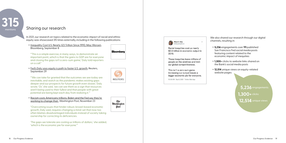

**5,236** engagements

1,300+ clicks

**12,514** unique views

In 2021, our research on topics related to the economic impact of racial and ethnic equity was showcased 315 times externally, including in the following publications:

+ [Inequality Cost U.S. Nearly \\$23 Trillion Since 1990; May Worsen,](https://www.bloomberg.com/news/articles/2021-09-09/inequality-cost-u-s-nearly-23-trillion-since-1990-may-worsen) Bloomberg, September 8

"'This is a simple exercise, in many ways, to demonstrate an important point, which is that the gains to GDP are for everyone and closing the gaps isn't a zero-sum game,' Daly told reporters on a call."

+ [Fed's Daly says equity is path to faster U.S. growth](https://www.reuters.com/business/finance/feds-daly-says-equity-is-path-faster-us-growth-2021-09-29/), Reuters, September 29

We also shared our research through our digital channels, resulting in: + **5,236** engagements over **111** published

"'We can take for granted that the outcomes we see today are inevitable, and watch as the pandemic makes existing gaps deeper and our prospects for future growth even slower,' Daly wrote. 'Or,' she said, 'we can see them as a sign that resources aren't being used to their fullest and that people with great potential are being kept each day from realizing it.'"

+ [Racism costs Americans trillions. Biden and the Fed say they're](https://www.washingtonpost.com/politics/2021/11/13/black-inequality-mary-daly-study-federal-reserve/)  [working to change that.,](https://www.washingtonpost.com/politics/2021/11/13/black-inequality-mary-daly-study-federal-reserve/) Washington Post, November 23

"Overcoming issues that hinder robust, broad-based economic growth, Daly said, requires changing a mind-set that now too often blames disadvantaged individuals instead of society taking ownership for correcting its deficiencies.

'The gaps we tolerate are costing us trillions of dollars,' she added, 'which is the economic pie for everyone.'"









Racial inequities cost us nearly \$2.6 trillion in economic output in 2019.

These inequities leave millions of people on the sidelines and limit our global competitiveness.

This isn't a zero-sum game. Increasing our output leaves a bigger economic pie for everyone.

10:00 AM · Sep 8, 2021 · Twitter Web App

#### Sharing our research

- San Francisco Fed social media posts featuring content related to the economic impact of inequities
- + **1,300+** clicks to website links shared on the Bank's social media posts
- + **12,514** unique views on equity-related website pages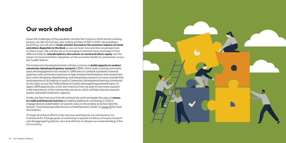### **Our work ahead**

Given the challenges of the pandemic and the San Francisco Fed's remote working posture, we did not host any new visiting scholars in 2021. In 2022—the pandemic permitting—we will aim to **invite scholars focused on the economic impacts of racial and ethnic disparities to the Bank** so we can learn new and diverse perspectives on these issues. We will also focus on bringing in external voices and experts from different fields for **interdisciplinary discussions on racial and ethnic equity** and the impact of racial and ethnic disparities on the economic health of communities across the Twelfth District.

The Community Development team will also continue to **build capacity to conduct community-based participatory research** (CBPR), which seeks to bring community input and engagement into research. CBPR aims to combine academic research expertise with community expertise to help minimize the limitations that researchers face when designing, implementing, and interpreting research on issues outside their lived experience. By helping to lead a Community Development learning community on this topic across the Federal Reserve System and exploring potential topics to apply CBPR approaches at the San Francisco Fed, we seek to root more research in the experiences of the communities we serve, which will help improve research quality and build community capacity.

Finally, the San Francisco Fed will continue the work we began this year on **access to credit and financial inclusion** by holding additional convenings in 2022 to engage diverse stakeholders on specific ways to move ideas to action. (See the feature, "Increasing Equitable Access to Small Business Credit," on [page 3](#page-15-0)0 for more information.)

Through all of these efforts in the next year and beyond, we will advance our Framework for Change goals of continuing to expand our library of equity research and disaggregating data by race and ethnicity to deepen our understanding of the U.S. economy.

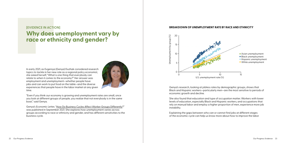

### <span id="page-11-0"></span>**[EVIDENCE IN ACTION] Why does unemployment vary by race or ethnicity and gender?**

In early 2021, as Evgeniya (Genya) Duzhak considered research topics to tackle in her new role as a regional policy economist, she asked herself, "What is one thing that everybody can relate to when it comes to the economy?" Her answer was employment and unemployment—whether people have jobs and can work to put food on the table—and the diverse experiences that people have in the labor market at any given time.

"Even if you think our economy is growing and unemployment rates are small, once you look at different groups of people, you realize that not everybody is in the same boat," said Genya.

Genya's *Economic Letter,* ["How Do Business Cycles Affect Worker Groups Differently?](https://www.frbsf.org/economic-research/publications/economic-letter/2021/september/how-do-business-cycles-affect-worker-groups-differently/)" was published in September 2021. She explores how unemployment varies across groups according to race or ethnicity and gender, and has different sensitivities to the business cycle.

Genya's research, looking at jobless rates by demographic groups, shows that Black and Hispanic workers—particularly men—are the most sensitive to periods of economic growth and decline.

She also found that education and type of occupation matter. Workers with lower levels of education, especially Black and Hispanic workers, and occupations that rely on manual labor and employ a higher proportion of men, experience more job instability.

Explaining the gaps between who can or cannot find jobs at different stages of the economic cycle can help us know more about how to improve the labor

#### **BREAKDOWN OF UNEMPLOYMENT RATE BY RACE AND ETHNICITY**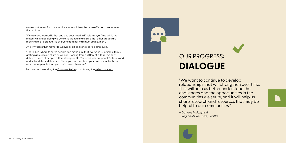"We want to continue to develop relationships that will strengthen over time. This will help us better understand the challenges and the opportunities in the communities we serve, and it will help us share research and resources that may be helpful to our communities."

*– Darlene Wilczynski Regional Executive, Seattle*

# OUR PROGRESS: **DIALOGUE**

market outcomes for those workers who will likely be more affected by economic fluctuations.

"What we've learned is that one size does not fit all," said Genya. "And while the majority might be doing well, we also want to make sure that other groups are reaching their potential, so everyone reaches maximum employment."



And why does that matter to Genya, as a San Francisco Fed employee?

"The SF Fed is here to serve people and make sure that everyone is, in simple terms, getting as much out of life as we can. Coming from a different culture, I've seen different types of people, different ways of life. You need to learn people's stories and understand these differences. Then, you can fine-tune your policy, your tools, and reach more people than you could have otherwise."

Learn more by reading the *[Economic Letter](https://www.frbsf.org/economic-research/publications/economic-letter/2021/september/how-do-business-cycles-affect-worker-groups-differently/)* or watching the [video summary](https://vimeo.com/613922384).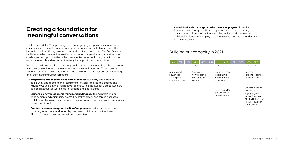Our Framework for Change recognizes that engaging in open conversation with our communities is critical to understanding the economic impact of racial and ethnic inequities and identifying solutions that address their root causes. The San Francisco Fed is focused on developing relationships that will help us better understand the challenges and opportunities in the communities we serve. In turn, this will also help us share research and resources that may be helpful to our communities.

To ensure the Bank has the necessary people and tools to maintain a robust dialogue with the communities we serve and with our own employees, in 2021 we took the following actions to build a foundation that will enable us to deepen our knowledge and spark meaningful conversations:



- + **Adapted the role of our five Regional Executives** to be fully dedicated to community engagement and recruitment for San Francisco Fed Boards and Advisory Councils in their respective regions within the Twelfth District. Two new Regional Executives were hired in Portland and Los Angeles.
- + **Launched a new relationship management database** to begin tracking our engagement and community events, key stakeholders, and topics discussed, with the goal of using these metrics to ensure we are reaching diverse audiences across our District.
- + **Created new roles to expand the Bank's engagement** with diverse audiences, including local, state, and federal government officials and Native American, Alaska Native, and Native Hawaiian communities.

### **Creating a foundation for meaningful conversations**

+ **Shared Bankwide messages to educate our employees** about the Framework for Change and how it supports our mission, including a communication from the San Francisco Fed Inclusion Alliance about individual actions every employee can take to advance racial and ethnic

equity at the Bank.

| JN | <b>JUL</b>                                                                                                    | <b>AUG</b> | <b>SEP</b> | <b>OCT</b>                                                                                                                   | <b>NOV</b> | <b>DEC</b> |  |
|----|---------------------------------------------------------------------------------------------------------------|------------|------------|------------------------------------------------------------------------------------------------------------------------------|------------|------------|--|
|    | I aunched new<br>relationship<br>management<br>database<br>Hired new VP of<br>Government &<br>Civic Relations |            |            | Hired new<br>Regional Executive<br>for Los Angeles                                                                           |            |            |  |
|    |                                                                                                               |            |            | Created position<br>to focus on<br>engaging with<br>Native American.<br>Alaska Native, and<br>Native Hawaiian<br>communities |            |            |  |

### Building our capacity in 2021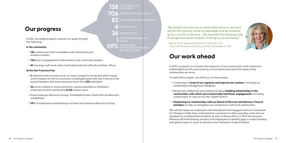

- **706** engagements with leaders
	- **82** meetings with elected officials
		- **6** internal events
	- **36** intranet stories
		- **1** new Employee Resource Group
- **59%** of employees pating in Em Resource Groups

### **Our progress**

In 2021, we made progress towards our goals through the following:

#### **In the community**

- + **138** conferences and roundtables with community and business leaders
- + **706** direct engagements with business and community leaders
- + **82** meetings with local, state, and federal elected officials and their offices

#### **At the San Francisco Fed**

- + **6** internal events or event series on topics related to racial and ethnic equity and its impact on the U.S. economy, including **2** events with San Francisco Fed board members that each attracted more than **200** attendees
- + **36** stories related to racial and ethnic equity published on the Bank's employee intranet, generating **8,326** unique views
- + **1** new Employee Resource Group—the Middle Eastern-North African Network established
- + **59%** of employees participating in at least one Employee Resource Group

+ **Deepening our relationships with our Board of Director and Advisory Council members** to help us strengthen our connections with local communities.

"No matter who we are or what field we're in, we must all join this journey to be as equitable and as inclusive as our country is diverse… We wouldn't be doing our job if we ignored what inequity is doing to our economy."

*– Becky Potts, Regional Executive, Salt Lake City, One Utah Business Diversity Summit, November 4, 2021*

## **Our work ahead**

In 2022, our goal is to increase the frequency of our connections with community stakeholders by 50% and continue to host events that meet the needs of the communities we serve.

To meet these targets, we will focus on these areas:

+ Continuing to **invest in our capacity and improve our systems**, including our

+ Being more deliberate and intentional about **building relationships in the communities with which we've historically had fewer engagements**, including

- relationship management database.
- communities of color across the Twelfth District.
- 

We will also keep our employees informed about and engaged with our Framework for Change to help them understand its connection to their everyday work and our mandate as a Federal Reserve Bank. As part of these efforts, in 2022 the Inclusion Alliance will hold listening sessions with employees to identify gaps in understanding and gather input on ways to advance the Framework inside the Bank.

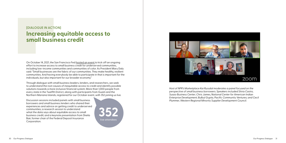



### <span id="page-15-0"></span>**[DIALOGUE IN ACTION] Increasing equitable access to small business credit**

On October 14, 2021, the San Francisco Fed [hosted an event](https://www.frbsf.org/our-district/events/equitable-access-small-business-credit-oct-2021/) to kick off an ongoing effort to increase access to small business credit for underserved communities, including low-income communities and communities of color. As President Mary Daly said: "Small businesses are the fabric of our communities. They make healthy, resilient communities. And having everybody be able to participate in that is important for the individuals, but also important for our broader economy."

Through dialogue with small business leaders, lenders, and researchers, we seek to understand the root causes of inequitable access to credit and identify possible solutions towards a more inclusive financial system. More than 1,000 people from every state in the Twelfth District, along with participants from Guam and the Northern Mariana Islands, registered for our October event, with 352 joining us live.

Discussion sessions included panels with small business borrowers and small business lenders who shared their experiences and advice on getting credit to underserved communities; a research session to understand what the data says about equitable access to small business credit; and a keynote presentation from Sheila Bair, former chair of the Federal Deposit Insurance Corporation.

*Host of NPR's Marketplace Kai Ryssdal moderates a panel focused on the perspective of small business borrowers. Speakers included Silvia Castro, Suazo Business Center; Chris James, National Center for American Indian Enterprise Development; Bulbul Gupta, Pacific Community Ventures; and Cecil Plummer, Western Regional Minority Supplier Development Council.*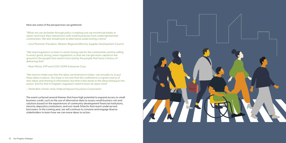"What we can do better through policy is making sure we incentivize banks to report and track their interactions with small businesses from underrepresented communities. We also should look at alternative underwriting criteria."

*– Cecil Plummer, President, Western Regional Minority Supplier Development Council* 

"We need regulators to listen to what's being said for the communities and be willing to enact good, strong, smart regulations so that we can get more capital on the ground to the people that need it most and by the people that have a history of delivering that."

*– Pearl Wicks, EVP and COO, HOPE Enterprise Corp*

"We need to make sure that the ideas we brainstorm today—we actually try to put these ideas in place…Our hope is not only that this conference is a great source of new ideas and sharing of information, but that it also leads to the ideas being put into action. And for that to happen, regulators need to have an open mind."

*– Sheila Bair, former chair, Federal Deposit Insurance Corporation*

The event surfaced several themes that have high potential to expand access to small business credit, such as the use of alternative data to assess small business risk and solutions based on the experiences of community development financial institutions, minority depository institutions, and non-bank fintechs that reach underserved borrowers. In the coming year, we will continue to convene and engage diverse stakeholders to learn how we can move ideas to action.



#### Here are some of the perspectives we gathered: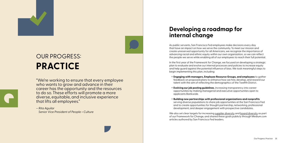"We're working to ensure that every employee who wants to grow and advance in their career has the opportunity and the resources to do so. These efforts will promote a more diverse, equitable, and inclusive experience that lifts all employees."

*– Rita Aguilar Senior Vice President of People + Culture*





# OUR PROGRESS: **PRACTICE**

As public servants, San Francisco Fed employees make decisions every day that have an impact on how we serve the community. To meet our mission and create unreserved opportunity for all Americans, we recognize the importance of advancing racial and ethnic equity within our own organization, so we can reflect the people we serve while enabling all of our employees to reach their full potential.

In the first year of the Framework for Change, we focused on developing a strategic plan to evaluate and evolve our internal processes and policies to increase equity and help guard against the potential influence of bias. We took meaningful steps to begin implementing this plan, including:

We also set clear targets for increasing [supplier diversity](https://medium.com/sffed/supplier-diversity-confronting-inequity-for-greater-shared-prosperity-849af7e72455) and [board diversity](https://medium.com/sffed/moving-the-needle-on-board-diversity-82e1df0e705) as part of our Framework for Change, and shared these goals publicly through Medium.com articles authored by San Francisco Fed leaders.

+ **Engaging with managers, Employee Resource Groups, and employees** to gather feedback on proposed plans to enhance how we hire, develop, and reward our talent with the aim of reflecting the demographics of the Twelfth District.

+ **Evolving our job posting guidelines**, increasing transparency into career opportunities by making managerial and executive opportunities open to

- 
- applicants Bankwide.
- 

#### + **Building new partnerships with professional organizations and nonprofits**

serving diverse populations to share job opportunities at the San Francisco Fed and to create opportunities for thought partnership, networking, professional development, and deeper engagement with prospective candidates.

## **Developing a roadmap for internal change**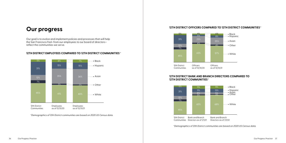**12TH DISTRICT EMPLOYEES COMPARED TO 12TH DISTRICT COMMUNITIES\***

### **Our progress**



Our goal is to evolve and implement policies and processes that will help the San Francisco Fed—from our employees to our board of directors reflect the communities we serve.

*\*Demographics of 12th District communities are based on 2020 US Census data.*

#### **12TH DISTRICT OFFICERS COMPARED TO 12TH DISTRICT COMMUNITIES\***

#### **12TH DISTRICT BANK AND BRANCH DIRECTORS COMPARED TO 12TH DISTRICT COMMUNITIES\***

*\*Demographics of 12th District communities are based on 2020 US Census data.*

12th District Communities Directors as of 1/1/21 Bank and Branch



Bank and Branch Directors as of 1/1/22

as of 12/31/21

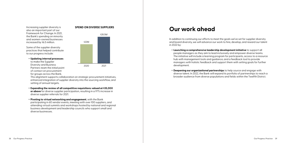Increasing supplier diversity is also an important part of our Framework for Change. In 2021, the Bank's spending on minority and women-owned businesses increased by \$6.5 million.

Some of the supplier diversity practices that helped contribute to our progress include:

+ **Updating internal processes** to make the Supplier Diversity and Business Partners team the initial point of contact on procurement for groups across the Bank.

This alignment supports collaboration on strategic procurement initiatives, enhanced integration of supplier diversity into the sourcing workflow, and setting of annual targets.

In addition to continuing our efforts to meet the goals we've set for supplier diversity and board diversity, we will advance our work to hire, develop, and reward our talent in 2022 by:

- + **Expanding the review of all competitive requisitions valued at \$35,000 or above** for diverse supplier participation, resulting in a 97% increase in diverse supplier referrals for 2021.
- + **Pivoting to virtual networking and engagement**, with the Bank participating in 60 vendor events, meeting with over 100 suppliers, and attending virtual summits and workshops hosted by national and regional business development and leadership councils who support small and diverse businesses.





## **Our work ahead**

+ **Launching a comprehensive leadership development initiative** to support all people managers as they aim to lead inclusively and empower diverse teams. The initiative will include a learning program for participants, access to a resource hub with management tools and guidance, and a feedback tool to provide managers with holistic feedback and support them with setting goals for further

- development.
- 

+ **Deepening our organizational partnerships** to help source and engage with diverse talent. In 2022, the Bank will expand its portfolio of partnerships to reach a broader audience from diverse populations and fields within the Twelfth District.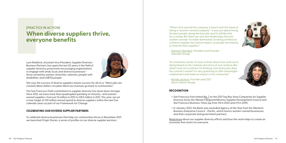### **[PRACTICE IN ACTION] When diverse suppliers thrive, everyone benefits**

Lynn Reddrick, Assistant Vice President, Supplier Diversity + Business Partners, has spent the last 20 years in the field of supplier diversity, proactively encouraging organizations to engage with small, local, and diverse businesses those owned by women, minorities, veterans, people with disabilities, and LGBTQ people.



She says the success of diverse suppliers means success for all of us: "More jobs are created. More dollars circulate. More tax revenues go back to communities."

The San Francisco Fed's commitment to supplier diversity has never been stronger. Since 2012, we have more than quadrupled spending on minority- and womenowned suppliers, from just \$5 million in 2012 to \$28.5 million in 2021. This year, we set a new target of \$30 million annual spend to diverse suppliers within the next five calendar years as part of our Framework for Change.

To celebrate diverse businesses that help our communities thrive, in November 2021 we launched Origin Stories, a series of profiles on our diverse supplier partners.

#### **CELEBRATING OUR DIVERSE SUPPLIER PARTNERS**

+ San Francisco Fed ranked [No. 7](https://www.bizjournals.com/sanfrancisco/partner-insights/supply-chain-inclusion-and-equity/2021/2021-top-bay-area-companies-supply-chain-inclusion.html) on the 2021 Top Bay Area Companies for Supplier Diversity list by the Western Regional Minority Supplier Development Council and San Francisco Business Times (up from #8 in 2020 and #11 in 2019).

+ In January 2022, the Bank was awarded Agency of the Year from the Women's Business Enterprise Council – Pacific, which honors women-owned businesses

- 
- and their corporate and government partners.
- economy that works for everyone.





[Read more](https://medium.com/sffed/supplier-diversity-confronting-inequity-for-greater-shared-prosperity-849af7e72455) about our supplier diversity efforts and how this work helps to create an

#### **RECOGNITION**

"When I first started the company, it wasn't with the intent of being a "woman-owned company"—it was just about hiring the best people, doing the best job, and it's still like that for us today. But there are very few dealerships that are women-owned—it's male-dominated. So being certified as a diverse supplier has had an impact, as people are looking to diversify their suppliers."

– *[Dannine Sheridan](https://medium.com/sffed/origin-stories-meet-sf-feds-diverse-suppliers-dannine-sheridan-diana-mendoza-sheridan-group-8bf0b9e81b5b), President and Founder Sheridan Group*

"As a business owner, it's easy to think about how well you're doing based on the commas and zeros of your revenue. But when I look at a contract, I'm thinking, how many jobs does this contract create? It is very gratifying to offer meaningful employment and make an impact in the community."

– *[Ronda Jackson](https://medium.com/sffed/origin-stories-meet-sf-feds-diverse-suppliers-ronda-jackson-decor-interior-design-b70cc8cae86f), Founder and CEO Decor Interior Design*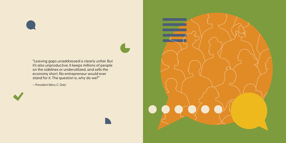

"Leaving gaps unaddressed is clearly unfair. But it's also unproductive. It keeps millions of people on the sidelines or underutilized, and sells the economy short. No entrepreneur would ever stand for it. The question is, why do we?"

*– President Mary C. Daly*